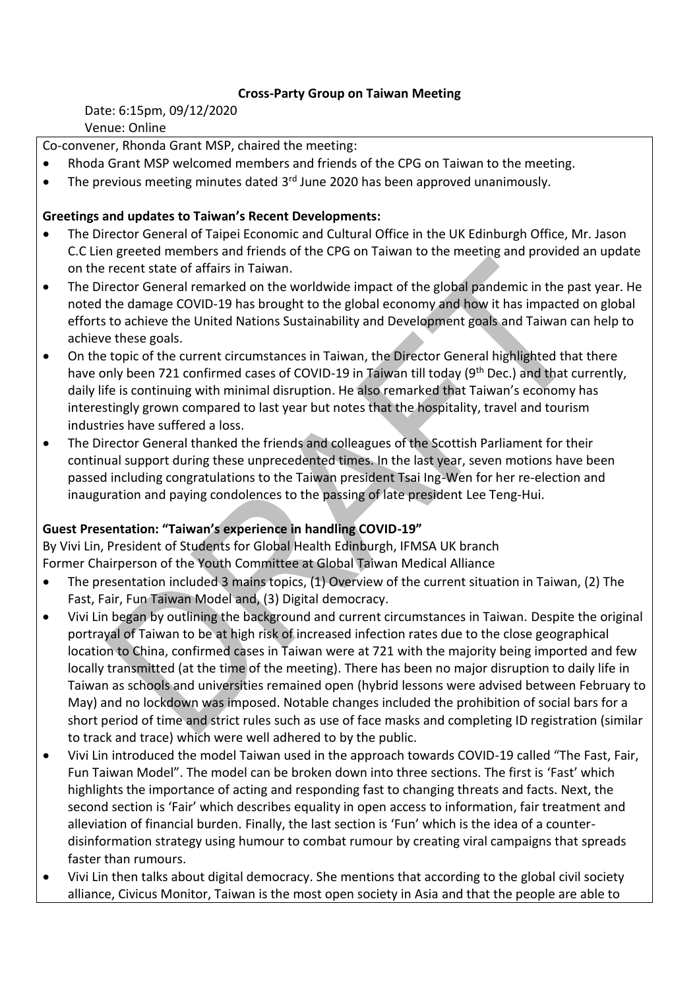## **Cross-Party Group on Taiwan Meeting**

Date: 6:15pm, 09/12/2020 Venue: Online

Co-convener, Rhonda Grant MSP, chaired the meeting:

- Rhoda Grant MSP welcomed members and friends of the CPG on Taiwan to the meeting.
- $\bullet$  The previous meeting minutes dated 3<sup>rd</sup> June 2020 has been approved unanimously.

## **Greetings and updates to Taiwan's Recent Developments:**

- The Director General of Taipei Economic and Cultural Office in the UK Edinburgh Office, Mr. Jason C.C Lien greeted members and friends of the CPG on Taiwan to the meeting and provided an update on the recent state of affairs in Taiwan.
- The Director General remarked on the worldwide impact of the global pandemic in the past year. He noted the damage COVID-19 has brought to the global economy and how it has impacted on global efforts to achieve the United Nations Sustainability and Development goals and Taiwan can help to achieve these goals.
- On the topic of the current circumstances in Taiwan, the Director General highlighted that there have only been 721 confirmed cases of COVID-19 in Taiwan till today (9<sup>th</sup> Dec.) and that currently, daily life is continuing with minimal disruption. He also remarked that Taiwan's economy has interestingly grown compared to last year but notes that the hospitality, travel and tourism industries have suffered a loss.
- The Director General thanked the friends and colleagues of the Scottish Parliament for their continual support during these unprecedented times. In the last year, seven motions have been passed including congratulations to the Taiwan president Tsai Ing-Wen for her re-election and inauguration and paying condolences to the passing of late president Lee Teng-Hui.

## **Guest Presentation: "Taiwan's experience in handling COVID-19"**

By Vivi Lin, President of Students for Global Health Edinburgh, IFMSA UK branch Former Chairperson of the Youth Committee at Global Taiwan Medical Alliance

- The presentation included 3 mains topics, (1) Overview of the current situation in Taiwan, (2) The Fast, Fair, Fun Taiwan Model and, (3) Digital democracy.
- Vivi Lin began by outlining the background and current circumstances in Taiwan. Despite the original portrayal of Taiwan to be at high risk of increased infection rates due to the close geographical location to China, confirmed cases in Taiwan were at 721 with the majority being imported and few locally transmitted (at the time of the meeting). There has been no major disruption to daily life in Taiwan as schools and universities remained open (hybrid lessons were advised between February to May) and no lockdown was imposed. Notable changes included the prohibition of social bars for a short period of time and strict rules such as use of face masks and completing ID registration (similar to track and trace) which were well adhered to by the public.
- Vivi Lin introduced the model Taiwan used in the approach towards COVID-19 called "The Fast, Fair, Fun Taiwan Model". The model can be broken down into three sections. The first is 'Fast' which highlights the importance of acting and responding fast to changing threats and facts. Next, the second section is 'Fair' which describes equality in open access to information, fair treatment and alleviation of financial burden. Finally, the last section is 'Fun' which is the idea of a counterdisinformation strategy using humour to combat rumour by creating viral campaigns that spreads faster than rumours.
- Vivi Lin then talks about digital democracy. She mentions that according to the global civil society alliance, Civicus Monitor, Taiwan is the most open society in Asia and that the people are able to